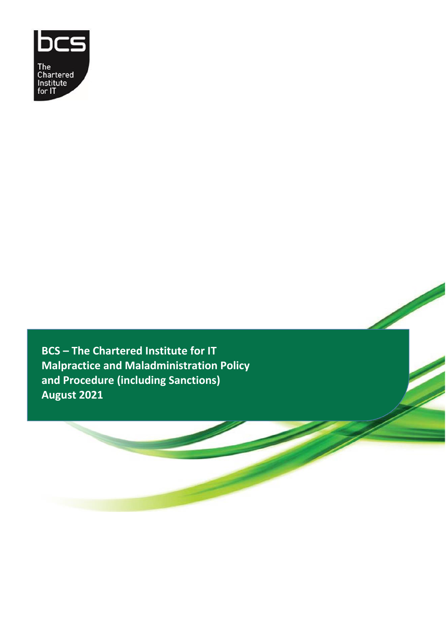

**BCS – The Chartered Institute for IT Malpractice and Maladministration Policy and Procedure (including Sanctions) August 2021**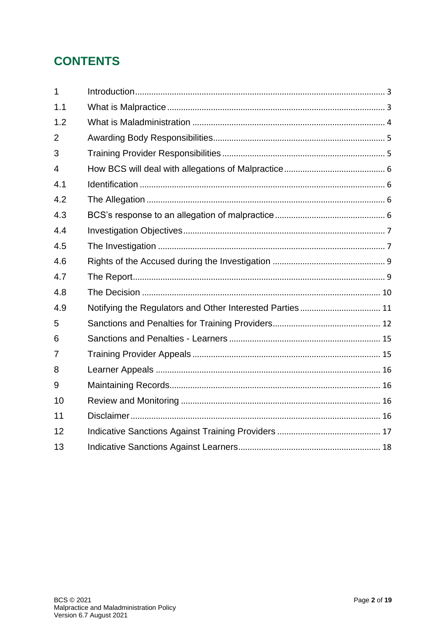## **CONTENTS**

| $\mathbf{1}$   |                                                          |  |
|----------------|----------------------------------------------------------|--|
| 1.1            |                                                          |  |
| 1.2            |                                                          |  |
| $\overline{2}$ |                                                          |  |
| 3              |                                                          |  |
| $\overline{4}$ |                                                          |  |
| 4.1            |                                                          |  |
| 4.2            |                                                          |  |
| 4.3            |                                                          |  |
| 4.4            |                                                          |  |
| 4.5            |                                                          |  |
| 4.6            |                                                          |  |
| 4.7            |                                                          |  |
| 4.8            |                                                          |  |
| 4.9            | Notifying the Regulators and Other Interested Parties 11 |  |
| 5              |                                                          |  |
| 6              |                                                          |  |
| 7              |                                                          |  |
| 8              |                                                          |  |
| 9              |                                                          |  |
| 10             |                                                          |  |
| 11             |                                                          |  |
| 12             |                                                          |  |
| 13             |                                                          |  |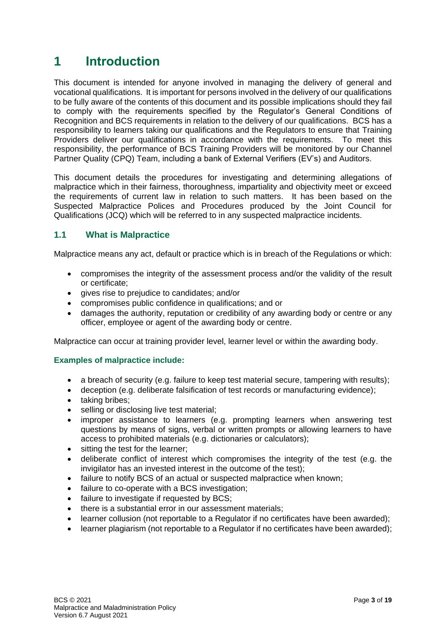## <span id="page-2-0"></span>**1 Introduction**

This document is intended for anyone involved in managing the delivery of general and vocational qualifications. It is important for persons involved in the delivery of our qualifications to be fully aware of the contents of this document and its possible implications should they fail to comply with the requirements specified by the Regulator's General Conditions of Recognition and BCS requirements in relation to the delivery of our qualifications. BCS has a responsibility to learners taking our qualifications and the Regulators to ensure that Training Providers deliver our qualifications in accordance with the requirements. To meet this responsibility, the performance of BCS Training Providers will be monitored by our Channel Partner Quality (CPQ) Team, including a bank of External Verifiers (EV's) and Auditors.

This document details the procedures for investigating and determining allegations of malpractice which in their fairness, thoroughness, impartiality and objectivity meet or exceed the requirements of current law in relation to such matters. It has been based on the Suspected Malpractice Polices and Procedures produced by the Joint Council for Qualifications (JCQ) which will be referred to in any suspected malpractice incidents.

### <span id="page-2-1"></span>**1.1 What is Malpractice**

Malpractice means any act, default or practice which is in breach of the Regulations or which:

- compromises the integrity of the assessment process and/or the validity of the result or certificate;
- gives rise to prejudice to candidates; and/or
- compromises public confidence in qualifications; and or
- damages the authority, reputation or credibility of any awarding body or centre or any officer, employee or agent of the awarding body or centre.

Malpractice can occur at training provider level, learner level or within the awarding body.

#### **Examples of malpractice include:**

- a breach of security (e.g. failure to keep test material secure, tampering with results);
- deception (e.g. deliberate falsification of test records or manufacturing evidence);
- taking bribes;
- selling or disclosing live test material;
- improper assistance to learners (e.g. prompting learners when answering test questions by means of signs, verbal or written prompts or allowing learners to have access to prohibited materials (e.g. dictionaries or calculators);
- sitting the test for the learner:
- deliberate conflict of interest which compromises the integrity of the test (e.g. the invigilator has an invested interest in the outcome of the test);
- failure to notify BCS of an actual or suspected malpractice when known;
- failure to co-operate with a BCS investigation;
- failure to investigate if requested by BCS;
- there is a substantial error in our assessment materials;
- learner collusion (not reportable to a Regulator if no certificates have been awarded);
- learner plagiarism (not reportable to a Regulator if no certificates have been awarded);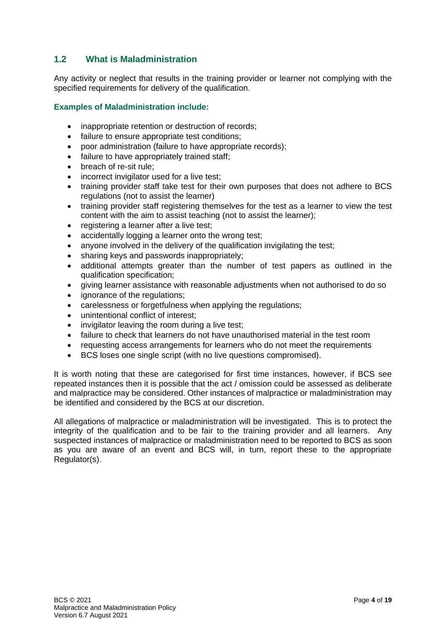### <span id="page-3-0"></span>**1.2 What is Maladministration**

Any activity or neglect that results in the training provider or learner not complying with the specified requirements for delivery of the qualification.

#### **Examples of Maladministration include:**

- inappropriate retention or destruction of records;
- failure to ensure appropriate test conditions;
- poor administration (failure to have appropriate records);
- failure to have appropriately trained staff;
- breach of re-sit rule;
- incorrect invigilator used for a live test:
- training provider staff take test for their own purposes that does not adhere to BCS regulations (not to assist the learner)
- training provider staff registering themselves for the test as a learner to view the test content with the aim to assist teaching (not to assist the learner);
- registering a learner after a live test;
- accidentally logging a learner onto the wrong test;
- anyone involved in the delivery of the qualification invigilating the test;
- sharing keys and passwords inappropriately;
- additional attempts greater than the number of test papers as outlined in the qualification specification;
- giving learner assistance with reasonable adjustments when not authorised to do so
- ignorance of the regulations;
- carelessness or forgetfulness when applying the regulations;
- unintentional conflict of interest;
- invigilator leaving the room during a live test:
- failure to check that learners do not have unauthorised material in the test room
- requesting access arrangements for learners who do not meet the requirements
- BCS loses one single script (with no live questions compromised).

It is worth noting that these are categorised for first time instances, however, if BCS see repeated instances then it is possible that the act / omission could be assessed as deliberate and malpractice may be considered. Other instances of malpractice or maladministration may be identified and considered by the BCS at our discretion.

All allegations of malpractice or maladministration will be investigated. This is to protect the integrity of the qualification and to be fair to the training provider and all learners. Any suspected instances of malpractice or maladministration need to be reported to BCS as soon as you are aware of an event and BCS will, in turn, report these to the appropriate Regulator(s).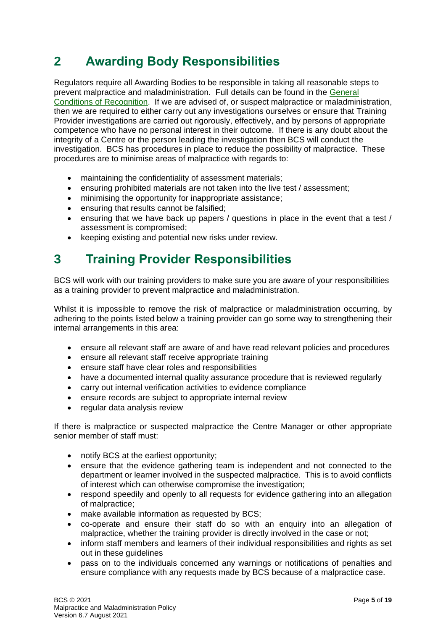## <span id="page-4-0"></span>**2 Awarding Body Responsibilities**

Regulators require all Awarding Bodies to be responsible in taking all reasonable steps to prevent malpractice and maladministration. Full details can be found in the [General](https://www.gov.uk/government/publications/general-conditions-of-recognition)  [Conditions of Recognition.](https://www.gov.uk/government/publications/general-conditions-of-recognition) If we are advised of, or suspect malpractice or maladministration, then we are required to either carry out any investigations ourselves or ensure that Training Provider investigations are carried out rigorously, effectively, and by persons of appropriate competence who have no personal interest in their outcome. If there is any doubt about the integrity of a Centre or the person leading the investigation then BCS will conduct the investigation. BCS has procedures in place to reduce the possibility of malpractice. These procedures are to minimise areas of malpractice with regards to:

- maintaining the confidentiality of assessment materials;
- ensuring prohibited materials are not taken into the live test / assessment;
- minimising the opportunity for inappropriate assistance;
- ensuring that results cannot be falsified;
- ensuring that we have back up papers / questions in place in the event that a test / assessment is compromised;
- keeping existing and potential new risks under review.

## <span id="page-4-1"></span>**3 Training Provider Responsibilities**

BCS will work with our training providers to make sure you are aware of your responsibilities as a training provider to prevent malpractice and maladministration.

Whilst it is impossible to remove the risk of malpractice or maladministration occurring, by adhering to the points listed below a training provider can go some way to strengthening their internal arrangements in this area:

- ensure all relevant staff are aware of and have read relevant policies and procedures
- ensure all relevant staff receive appropriate training
- ensure staff have clear roles and responsibilities
- have a documented internal quality assurance procedure that is reviewed regularly
- carry out internal verification activities to evidence compliance
- ensure records are subject to appropriate internal review
- regular data analysis review

If there is malpractice or suspected malpractice the Centre Manager or other appropriate senior member of staff must:

- notify BCS at the earliest opportunity;
- ensure that the evidence gathering team is independent and not connected to the department or learner involved in the suspected malpractice. This is to avoid conflicts of interest which can otherwise compromise the investigation;
- respond speedily and openly to all requests for evidence gathering into an allegation of malpractice;
- make available information as requested by BCS;
- co-operate and ensure their staff do so with an enquiry into an allegation of malpractice, whether the training provider is directly involved in the case or not;
- inform staff members and learners of their individual responsibilities and rights as set out in these guidelines
- pass on to the individuals concerned any warnings or notifications of penalties and ensure compliance with any requests made by BCS because of a malpractice case.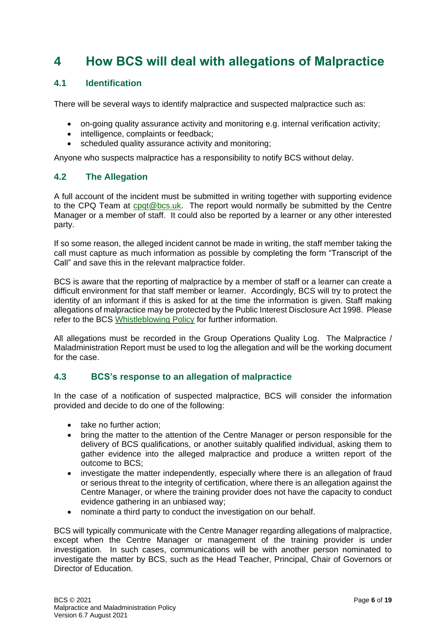## <span id="page-5-0"></span>**4 How BCS will deal with allegations of Malpractice**

### <span id="page-5-1"></span>**4.1 Identification**

There will be several ways to identify malpractice and suspected malpractice such as:

- on-going quality assurance activity and monitoring e.g. internal verification activity;
- intelligence, complaints or feedback;
- scheduled quality assurance activity and monitoring;

Anyone who suspects malpractice has a responsibility to notify BCS without delay.

### <span id="page-5-2"></span>**4.2 The Allegation**

A full account of the incident must be submitted in writing together with supporting evidence to the CPQ Team at [cpqt@bcs.uk.](mailto:cpqt@bcs.uk) The report would normally be submitted by the Centre Manager or a member of staff. It could also be reported by a learner or any other interested party.

If so some reason, the alleged incident cannot be made in writing, the staff member taking the call must capture as much information as possible by completing the form "Transcript of the Call" and save this in the relevant malpractice folder.

BCS is aware that the reporting of malpractice by a member of staff or a learner can create a difficult environment for that staff member or learner. Accordingly, BCS will try to protect the identity of an informant if this is asked for at the time the information is given. Staff making allegations of malpractice may be protected by the Public Interest Disclosure Act 1998. Please refer to the BCS [Whistleblowing Policy](https://www.bcs.org/contact-us/whistleblowing-policy/) for further information.

All allegations must be recorded in the Group Operations Quality Log. The Malpractice / Maladministration Report must be used to log the allegation and will be the working document for the case.

### <span id="page-5-3"></span>**4.3 BCS's response to an allegation of malpractice**

In the case of a notification of suspected malpractice, BCS will consider the information provided and decide to do one of the following:

- take no further action;
- bring the matter to the attention of the Centre Manager or person responsible for the delivery of BCS qualifications, or another suitably qualified individual, asking them to gather evidence into the alleged malpractice and produce a written report of the outcome to BCS;
- investigate the matter independently, especially where there is an allegation of fraud or serious threat to the integrity of certification, where there is an allegation against the Centre Manager, or where the training provider does not have the capacity to conduct evidence gathering in an unbiased way;
- nominate a third party to conduct the investigation on our behalf.

BCS will typically communicate with the Centre Manager regarding allegations of malpractice, except when the Centre Manager or management of the training provider is under investigation. In such cases, communications will be with another person nominated to investigate the matter by BCS, such as the Head Teacher, Principal, Chair of Governors or Director of Education.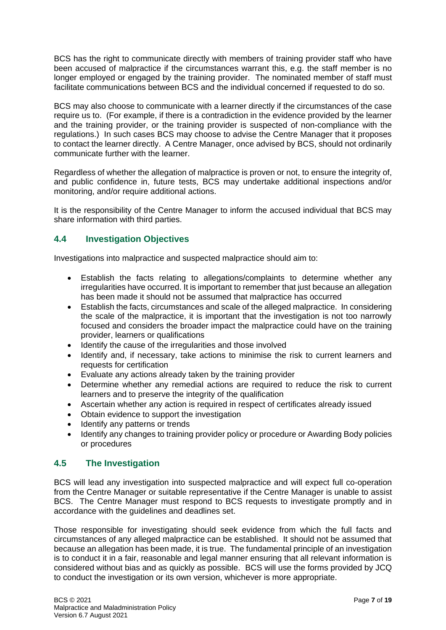BCS has the right to communicate directly with members of training provider staff who have been accused of malpractice if the circumstances warrant this, e.g. the staff member is no longer employed or engaged by the training provider. The nominated member of staff must facilitate communications between BCS and the individual concerned if requested to do so.

BCS may also choose to communicate with a learner directly if the circumstances of the case require us to. (For example, if there is a contradiction in the evidence provided by the learner and the training provider, or the training provider is suspected of non-compliance with the regulations.) In such cases BCS may choose to advise the Centre Manager that it proposes to contact the learner directly. A Centre Manager, once advised by BCS, should not ordinarily communicate further with the learner.

Regardless of whether the allegation of malpractice is proven or not, to ensure the integrity of, and public confidence in, future tests, BCS may undertake additional inspections and/or monitoring, and/or require additional actions.

It is the responsibility of the Centre Manager to inform the accused individual that BCS may share information with third parties.

### <span id="page-6-0"></span>**4.4 Investigation Objectives**

Investigations into malpractice and suspected malpractice should aim to:

- Establish the facts relating to allegations/complaints to determine whether any irregularities have occurred. It is important to remember that just because an allegation has been made it should not be assumed that malpractice has occurred
- Establish the facts, circumstances and scale of the alleged malpractice. In considering the scale of the malpractice, it is important that the investigation is not too narrowly focused and considers the broader impact the malpractice could have on the training provider, learners or qualifications
- Identify the cause of the irregularities and those involved
- Identify and, if necessary, take actions to minimise the risk to current learners and requests for certification
- Evaluate any actions already taken by the training provider
- Determine whether any remedial actions are required to reduce the risk to current learners and to preserve the integrity of the qualification
- Ascertain whether any action is required in respect of certificates already issued
- Obtain evidence to support the investigation
- Identify any patterns or trends
- Identify any changes to training provider policy or procedure or Awarding Body policies or procedures

### <span id="page-6-1"></span>**4.5 The Investigation**

BCS will lead any investigation into suspected malpractice and will expect full co-operation from the Centre Manager or suitable representative if the Centre Manager is unable to assist BCS. The Centre Manager must respond to BCS requests to investigate promptly and in accordance with the guidelines and deadlines set.

Those responsible for investigating should seek evidence from which the full facts and circumstances of any alleged malpractice can be established. It should not be assumed that because an allegation has been made, it is true. The fundamental principle of an investigation is to conduct it in a fair, reasonable and legal manner ensuring that all relevant information is considered without bias and as quickly as possible. BCS will use the forms provided by JCQ to conduct the investigation or its own version, whichever is more appropriate.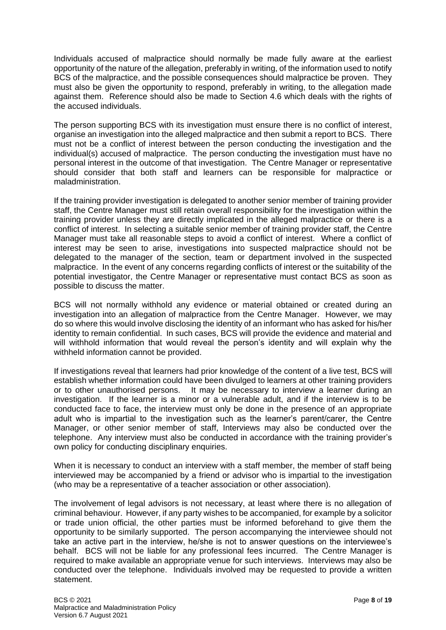Individuals accused of malpractice should normally be made fully aware at the earliest opportunity of the nature of the allegation, preferably in writing, of the information used to notify BCS of the malpractice, and the possible consequences should malpractice be proven. They must also be given the opportunity to respond, preferably in writing, to the allegation made against them. Reference should also be made to Section 4.6 which deals with the rights of the accused individuals.

The person supporting BCS with its investigation must ensure there is no conflict of interest, organise an investigation into the alleged malpractice and then submit a report to BCS. There must not be a conflict of interest between the person conducting the investigation and the individual(s) accused of malpractice. The person conducting the investigation must have no personal interest in the outcome of that investigation. The Centre Manager or representative should consider that both staff and learners can be responsible for malpractice or maladministration.

If the training provider investigation is delegated to another senior member of training provider staff, the Centre Manager must still retain overall responsibility for the investigation within the training provider unless they are directly implicated in the alleged malpractice or there is a conflict of interest. In selecting a suitable senior member of training provider staff, the Centre Manager must take all reasonable steps to avoid a conflict of interest. Where a conflict of interest may be seen to arise, investigations into suspected malpractice should not be delegated to the manager of the section, team or department involved in the suspected malpractice. In the event of any concerns regarding conflicts of interest or the suitability of the potential investigator, the Centre Manager or representative must contact BCS as soon as possible to discuss the matter.

BCS will not normally withhold any evidence or material obtained or created during an investigation into an allegation of malpractice from the Centre Manager. However, we may do so where this would involve disclosing the identity of an informant who has asked for his/her identity to remain confidential. In such cases, BCS will provide the evidence and material and will withhold information that would reveal the person's identity and will explain why the withheld information cannot be provided.

If investigations reveal that learners had prior knowledge of the content of a live test, BCS will establish whether information could have been divulged to learners at other training providers or to other unauthorised persons. It may be necessary to interview a learner during an investigation. If the learner is a minor or a vulnerable adult, and if the interview is to be conducted face to face, the interview must only be done in the presence of an appropriate adult who is impartial to the investigation such as the learner's parent/carer, the Centre Manager, or other senior member of staff, Interviews may also be conducted over the telephone. Any interview must also be conducted in accordance with the training provider's own policy for conducting disciplinary enquiries.

When it is necessary to conduct an interview with a staff member, the member of staff being interviewed may be accompanied by a friend or advisor who is impartial to the investigation (who may be a representative of a teacher association or other association).

The involvement of legal advisors is not necessary, at least where there is no allegation of criminal behaviour. However, if any party wishes to be accompanied, for example by a solicitor or trade union official, the other parties must be informed beforehand to give them the opportunity to be similarly supported. The person accompanying the interviewee should not take an active part in the interview, he/she is not to answer questions on the interviewee's behalf. BCS will not be liable for any professional fees incurred. The Centre Manager is required to make available an appropriate venue for such interviews. Interviews may also be conducted over the telephone. Individuals involved may be requested to provide a written statement.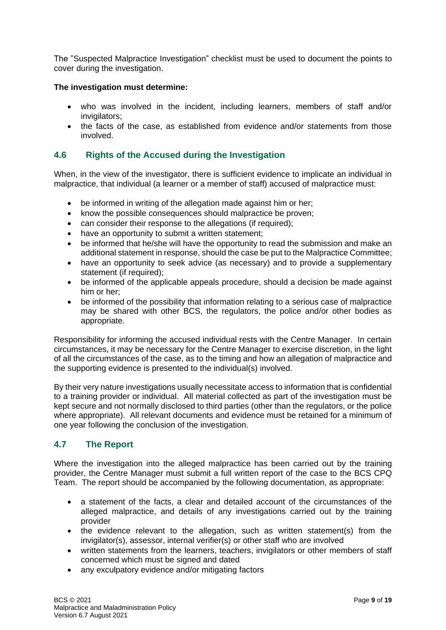The "Suspected Malpractice Investigation" checklist must be used to document the points to cover during the investigation.

#### **The investigation must determine:**

- who was involved in the incident, including learners, members of staff and/or invigilators;
- the facts of the case, as established from evidence and/or statements from those involved.

#### <span id="page-8-0"></span>**4.6 Rights of the Accused during the Investigation**

When, in the view of the investigator, there is sufficient evidence to implicate an individual in malpractice, that individual (a learner or a member of staff) accused of malpractice must:

- be informed in writing of the allegation made against him or her:
- know the possible consequences should malpractice be proven;
- can consider their response to the allegations (if required);
- have an opportunity to submit a written statement;
- be informed that he/she will have the opportunity to read the submission and make an additional statement in response, should the case be put to the Malpractice Committee;
- have an opportunity to seek advice (as necessary) and to provide a supplementary statement (if required);
- be informed of the applicable appeals procedure, should a decision be made against him or her;
- be informed of the possibility that information relating to a serious case of malpractice may be shared with other BCS, the regulators, the police and/or other bodies as appropriate.

Responsibility for informing the accused individual rests with the Centre Manager. In certain circumstances, it may be necessary for the Centre Manager to exercise discretion, in the light of all the circumstances of the case, as to the timing and how an allegation of malpractice and the supporting evidence is presented to the individual(s) involved.

By their very nature investigations usually necessitate access to information that is confidential to a training provider or individual. All material collected as part of the investigation must be kept secure and not normally disclosed to third parties (other than the regulators, or the police where appropriate). All relevant documents and evidence must be retained for a minimum of one year following the conclusion of the investigation.

### <span id="page-8-1"></span>**4.7 The Report**

Where the investigation into the alleged malpractice has been carried out by the training provider, the Centre Manager must submit a full written report of the case to the BCS CPQ Team. The report should be accompanied by the following documentation, as appropriate:

- a statement of the facts, a clear and detailed account of the circumstances of the alleged malpractice, and details of any investigations carried out by the training provider
- the evidence relevant to the allegation, such as written statement(s) from the invigilator(s), assessor, internal verifier(s) or other staff who are involved
- written statements from the learners, teachers, invigilators or other members of staff concerned which must be signed and dated
- any exculpatory evidence and/or mitigating factors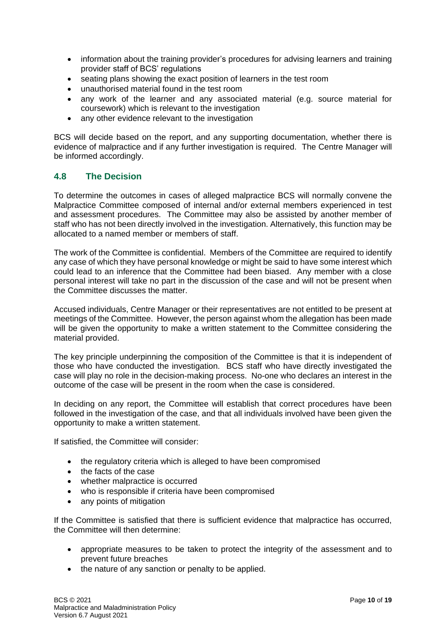- information about the training provider's procedures for advising learners and training provider staff of BCS' regulations
- seating plans showing the exact position of learners in the test room
- unauthorised material found in the test room
- any work of the learner and any associated material (e.g. source material for coursework) which is relevant to the investigation
- any other evidence relevant to the investigation

BCS will decide based on the report, and any supporting documentation, whether there is evidence of malpractice and if any further investigation is required. The Centre Manager will be informed accordingly.

### <span id="page-9-0"></span>**4.8 The Decision**

To determine the outcomes in cases of alleged malpractice BCS will normally convene the Malpractice Committee composed of internal and/or external members experienced in test and assessment procedures. The Committee may also be assisted by another member of staff who has not been directly involved in the investigation. Alternatively, this function may be allocated to a named member or members of staff.

The work of the Committee is confidential. Members of the Committee are required to identify any case of which they have personal knowledge or might be said to have some interest which could lead to an inference that the Committee had been biased. Any member with a close personal interest will take no part in the discussion of the case and will not be present when the Committee discusses the matter.

Accused individuals, Centre Manager or their representatives are not entitled to be present at meetings of the Committee. However, the person against whom the allegation has been made will be given the opportunity to make a written statement to the Committee considering the material provided.

The key principle underpinning the composition of the Committee is that it is independent of those who have conducted the investigation. BCS staff who have directly investigated the case will play no role in the decision-making process. No-one who declares an interest in the outcome of the case will be present in the room when the case is considered.

In deciding on any report, the Committee will establish that correct procedures have been followed in the investigation of the case, and that all individuals involved have been given the opportunity to make a written statement.

If satisfied, the Committee will consider:

- the regulatory criteria which is alleged to have been compromised
- the facts of the case
- whether malpractice is occurred
- who is responsible if criteria have been compromised
- any points of mitigation

If the Committee is satisfied that there is sufficient evidence that malpractice has occurred, the Committee will then determine:

- appropriate measures to be taken to protect the integrity of the assessment and to prevent future breaches
- the nature of any sanction or penalty to be applied.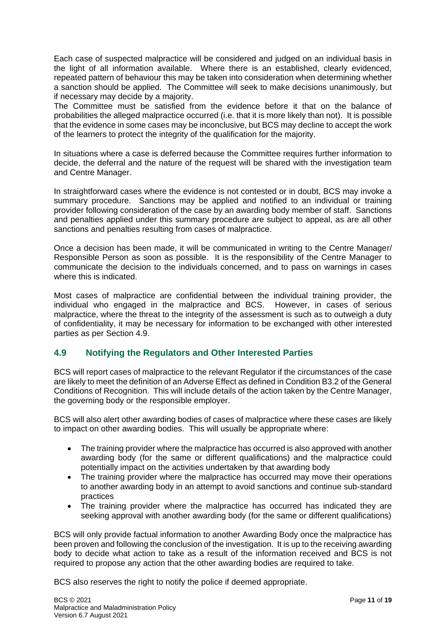Each case of suspected malpractice will be considered and judged on an individual basis in the light of all information available. Where there is an established, clearly evidenced, repeated pattern of behaviour this may be taken into consideration when determining whether a sanction should be applied. The Committee will seek to make decisions unanimously, but if necessary may decide by a majority.

The Committee must be satisfied from the evidence before it that on the balance of probabilities the alleged malpractice occurred (i.e. that it is more likely than not). It is possible that the evidence in some cases may be inconclusive, but BCS may decline to accept the work of the learners to protect the integrity of the qualification for the majority.

In situations where a case is deferred because the Committee requires further information to decide, the deferral and the nature of the request will be shared with the investigation team and Centre Manager.

In straightforward cases where the evidence is not contested or in doubt, BCS may invoke a summary procedure. Sanctions may be applied and notified to an individual or training provider following consideration of the case by an awarding body member of staff. Sanctions and penalties applied under this summary procedure are subject to appeal, as are all other sanctions and penalties resulting from cases of malpractice.

Once a decision has been made, it will be communicated in writing to the Centre Manager/ Responsible Person as soon as possible. It is the responsibility of the Centre Manager to communicate the decision to the individuals concerned, and to pass on warnings in cases where this is indicated.

Most cases of malpractice are confidential between the individual training provider, the individual who engaged in the malpractice and BCS. However, in cases of serious malpractice, where the threat to the integrity of the assessment is such as to outweigh a duty of confidentiality, it may be necessary for information to be exchanged with other interested parties as per Section 4.9.

### <span id="page-10-0"></span>**4.9 Notifying the Regulators and Other Interested Parties**

BCS will report cases of malpractice to the relevant Regulator if the circumstances of the case are likely to meet the definition of an Adverse Effect as defined in Condition B3.2 of the General Conditions of Recognition. This will include details of the action taken by the Centre Manager, the governing body or the responsible employer.

BCS will also alert other awarding bodies of cases of malpractice where these cases are likely to impact on other awarding bodies. This will usually be appropriate where:

- The training provider where the malpractice has occurred is also approved with another awarding body (for the same or different qualifications) and the malpractice could potentially impact on the activities undertaken by that awarding body
- The training provider where the malpractice has occurred may move their operations to another awarding body in an attempt to avoid sanctions and continue sub-standard practices
- The training provider where the malpractice has occurred has indicated they are seeking approval with another awarding body (for the same or different qualifications)

BCS will only provide factual information to another Awarding Body once the malpractice has been proven and following the conclusion of the investigation. It is up to the receiving awarding body to decide what action to take as a result of the information received and BCS is not required to propose any action that the other awarding bodies are required to take.

BCS also reserves the right to notify the police if deemed appropriate.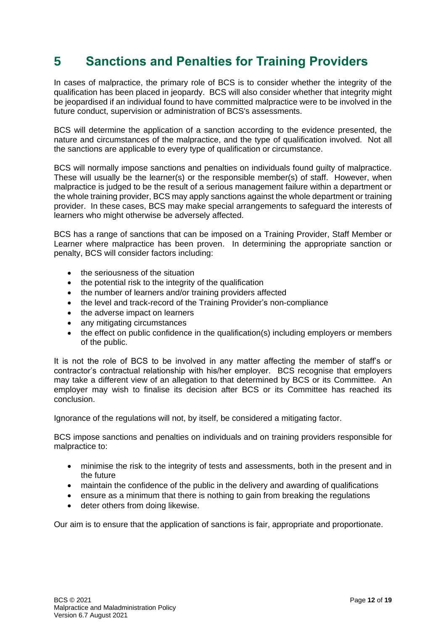## <span id="page-11-0"></span>**5 Sanctions and Penalties for Training Providers**

In cases of malpractice, the primary role of BCS is to consider whether the integrity of the qualification has been placed in jeopardy. BCS will also consider whether that integrity might be jeopardised if an individual found to have committed malpractice were to be involved in the future conduct, supervision or administration of BCS's assessments.

BCS will determine the application of a sanction according to the evidence presented, the nature and circumstances of the malpractice, and the type of qualification involved. Not all the sanctions are applicable to every type of qualification or circumstance.

BCS will normally impose sanctions and penalties on individuals found guilty of malpractice. These will usually be the learner(s) or the responsible member(s) of staff. However, when malpractice is judged to be the result of a serious management failure within a department or the whole training provider, BCS may apply sanctions against the whole department or training provider. In these cases, BCS may make special arrangements to safeguard the interests of learners who might otherwise be adversely affected.

BCS has a range of sanctions that can be imposed on a Training Provider, Staff Member or Learner where malpractice has been proven. In determining the appropriate sanction or penalty, BCS will consider factors including:

- the seriousness of the situation
- the potential risk to the integrity of the qualification
- the number of learners and/or training providers affected
- the level and track-record of the Training Provider's non-compliance
- the adverse impact on learners
- any mitigating circumstances
- the effect on public confidence in the qualification(s) including employers or members of the public.

It is not the role of BCS to be involved in any matter affecting the member of staff's or contractor's contractual relationship with his/her employer. BCS recognise that employers may take a different view of an allegation to that determined by BCS or its Committee. An employer may wish to finalise its decision after BCS or its Committee has reached its conclusion.

Ignorance of the regulations will not, by itself, be considered a mitigating factor.

BCS impose sanctions and penalties on individuals and on training providers responsible for malpractice to:

- minimise the risk to the integrity of tests and assessments, both in the present and in the future
- maintain the confidence of the public in the delivery and awarding of qualifications
- ensure as a minimum that there is nothing to gain from breaking the regulations
- deter others from doing likewise.

Our aim is to ensure that the application of sanctions is fair, appropriate and proportionate.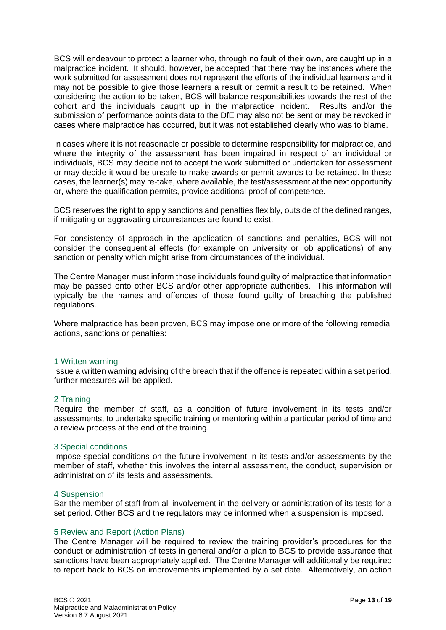BCS will endeavour to protect a learner who, through no fault of their own, are caught up in a malpractice incident. It should, however, be accepted that there may be instances where the work submitted for assessment does not represent the efforts of the individual learners and it may not be possible to give those learners a result or permit a result to be retained. When considering the action to be taken, BCS will balance responsibilities towards the rest of the cohort and the individuals caught up in the malpractice incident. Results and/or the submission of performance points data to the DfE may also not be sent or may be revoked in cases where malpractice has occurred, but it was not established clearly who was to blame.

In cases where it is not reasonable or possible to determine responsibility for malpractice, and where the integrity of the assessment has been impaired in respect of an individual or individuals, BCS may decide not to accept the work submitted or undertaken for assessment or may decide it would be unsafe to make awards or permit awards to be retained. In these cases, the learner(s) may re-take, where available, the test/assessment at the next opportunity or, where the qualification permits, provide additional proof of competence.

BCS reserves the right to apply sanctions and penalties flexibly, outside of the defined ranges, if mitigating or aggravating circumstances are found to exist.

For consistency of approach in the application of sanctions and penalties, BCS will not consider the consequential effects (for example on university or job applications) of any sanction or penalty which might arise from circumstances of the individual.

The Centre Manager must inform those individuals found guilty of malpractice that information may be passed onto other BCS and/or other appropriate authorities. This information will typically be the names and offences of those found guilty of breaching the published regulations.

Where malpractice has been proven, BCS may impose one or more of the following remedial actions, sanctions or penalties:

#### 1 Written warning

Issue a written warning advising of the breach that if the offence is repeated within a set period, further measures will be applied.

#### 2 Training

Require the member of staff, as a condition of future involvement in its tests and/or assessments, to undertake specific training or mentoring within a particular period of time and a review process at the end of the training.

#### 3 Special conditions

Impose special conditions on the future involvement in its tests and/or assessments by the member of staff, whether this involves the internal assessment, the conduct, supervision or administration of its tests and assessments.

#### 4 Suspension

Bar the member of staff from all involvement in the delivery or administration of its tests for a set period. Other BCS and the regulators may be informed when a suspension is imposed.

#### 5 Review and Report (Action Plans)

The Centre Manager will be required to review the training provider's procedures for the conduct or administration of tests in general and/or a plan to BCS to provide assurance that sanctions have been appropriately applied. The Centre Manager will additionally be required to report back to BCS on improvements implemented by a set date. Alternatively, an action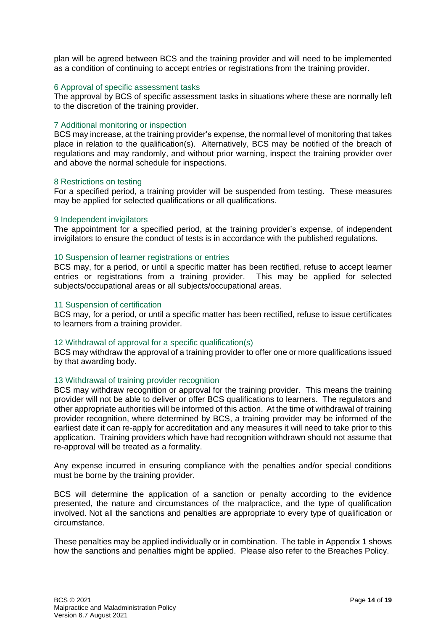plan will be agreed between BCS and the training provider and will need to be implemented as a condition of continuing to accept entries or registrations from the training provider.

#### 6 Approval of specific assessment tasks

The approval by BCS of specific assessment tasks in situations where these are normally left to the discretion of the training provider.

#### 7 Additional monitoring or inspection

BCS may increase, at the training provider's expense, the normal level of monitoring that takes place in relation to the qualification(s). Alternatively, BCS may be notified of the breach of regulations and may randomly, and without prior warning, inspect the training provider over and above the normal schedule for inspections.

#### 8 Restrictions on testing

For a specified period, a training provider will be suspended from testing. These measures may be applied for selected qualifications or all qualifications.

#### 9 Independent invigilators

The appointment for a specified period, at the training provider's expense, of independent invigilators to ensure the conduct of tests is in accordance with the published regulations.

#### 10 Suspension of learner registrations or entries

BCS may, for a period, or until a specific matter has been rectified, refuse to accept learner entries or registrations from a training provider. This may be applied for selected subjects/occupational areas or all subjects/occupational areas.

#### 11 Suspension of certification

BCS may, for a period, or until a specific matter has been rectified, refuse to issue certificates to learners from a training provider.

#### 12 Withdrawal of approval for a specific qualification(s)

BCS may withdraw the approval of a training provider to offer one or more qualifications issued by that awarding body.

#### 13 Withdrawal of training provider recognition

BCS may withdraw recognition or approval for the training provider. This means the training provider will not be able to deliver or offer BCS qualifications to learners. The regulators and other appropriate authorities will be informed of this action. At the time of withdrawal of training provider recognition, where determined by BCS, a training provider may be informed of the earliest date it can re-apply for accreditation and any measures it will need to take prior to this application. Training providers which have had recognition withdrawn should not assume that re-approval will be treated as a formality.

Any expense incurred in ensuring compliance with the penalties and/or special conditions must be borne by the training provider.

BCS will determine the application of a sanction or penalty according to the evidence presented, the nature and circumstances of the malpractice, and the type of qualification involved. Not all the sanctions and penalties are appropriate to every type of qualification or circumstance.

These penalties may be applied individually or in combination. The table in Appendix 1 shows how the sanctions and penalties might be applied. Please also refer to the Breaches Policy.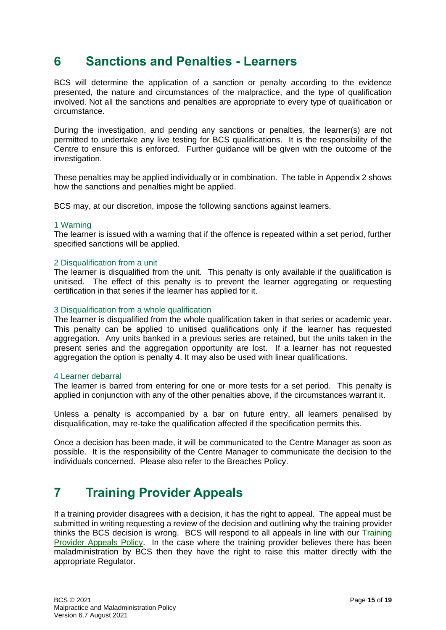### <span id="page-14-0"></span>**6 Sanctions and Penalties - Learners**

BCS will determine the application of a sanction or penalty according to the evidence presented, the nature and circumstances of the malpractice, and the type of qualification involved. Not all the sanctions and penalties are appropriate to every type of qualification or circumstance.

During the investigation, and pending any sanctions or penalties, the learner(s) are not permitted to undertake any live testing for BCS qualifications. It is the responsibility of the Centre to ensure this is enforced. Further guidance will be given with the outcome of the investigation.

These penalties may be applied individually or in combination. The table in Appendix 2 shows how the sanctions and penalties might be applied.

BCS may, at our discretion, impose the following sanctions against learners.

#### 1 Warning

The learner is issued with a warning that if the offence is repeated within a set period, further specified sanctions will be applied.

#### 2 Disqualification from a unit

The learner is disqualified from the unit. This penalty is only available if the qualification is unitised. The effect of this penalty is to prevent the learner aggregating or requesting certification in that series if the learner has applied for it.

#### 3 Disqualification from a whole qualification

The learner is disqualified from the whole qualification taken in that series or academic year. This penalty can be applied to unitised qualifications only if the learner has requested aggregation. Any units banked in a previous series are retained, but the units taken in the present series and the aggregation opportunity are lost. If a learner has not requested aggregation the option is penalty 4. It may also be used with linear qualifications.

#### 4 Learner debarral

The learner is barred from entering for one or more tests for a set period. This penalty is applied in conjunction with any of the other penalties above, if the circumstances warrant it.

Unless a penalty is accompanied by a bar on future entry, all learners penalised by disqualification, may re-take the qualification affected if the specification permits this.

Once a decision has been made, it will be communicated to the Centre Manager as soon as possible. It is the responsibility of the Centre Manager to communicate the decision to the individuals concerned. Please also refer to the Breaches Policy.

### <span id="page-14-1"></span>**7 Training Provider Appeals**

If a training provider disagrees with a decision, it has the right to appeal. The appeal must be submitted in writing requesting a review of the decision and outlining why the training provider thinks the BCS decision is wrong. BCS will respond to all appeals in line with our [Training](https://www.bcs.org/upload/pdf/training-provider-appeals-policy.pdf)  [Provider Appeals Policy.](https://www.bcs.org/upload/pdf/training-provider-appeals-policy.pdf) In the case where the training provider believes there has been maladministration by BCS then they have the right to raise this matter directly with the appropriate Regulator.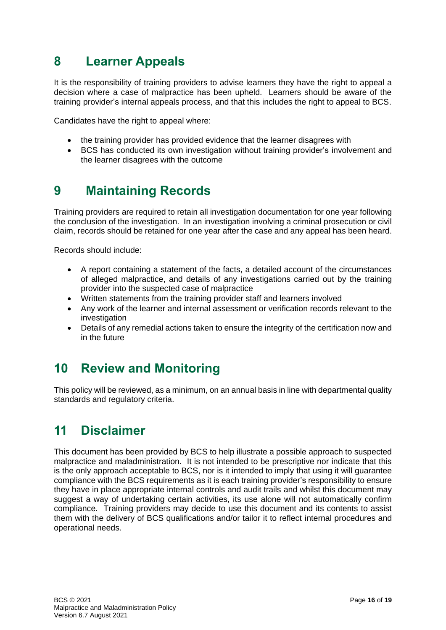## <span id="page-15-0"></span>**8 Learner Appeals**

It is the responsibility of training providers to advise learners they have the right to appeal a decision where a case of malpractice has been upheld. Learners should be aware of the training provider's internal appeals process, and that this includes the right to appeal to BCS.

Candidates have the right to appeal where:

- the training provider has provided evidence that the learner disagrees with
- BCS has conducted its own investigation without training provider's involvement and the learner disagrees with the outcome

## <span id="page-15-1"></span>**9 Maintaining Records**

Training providers are required to retain all investigation documentation for one year following the conclusion of the investigation. In an investigation involving a criminal prosecution or civil claim, records should be retained for one year after the case and any appeal has been heard.

Records should include:

- A report containing a statement of the facts, a detailed account of the circumstances of alleged malpractice, and details of any investigations carried out by the training provider into the suspected case of malpractice
- Written statements from the training provider staff and learners involved
- Any work of the learner and internal assessment or verification records relevant to the investigation
- Details of any remedial actions taken to ensure the integrity of the certification now and in the future

## <span id="page-15-2"></span>**10 Review and Monitoring**

This policy will be reviewed, as a minimum, on an annual basis in line with departmental quality standards and regulatory criteria.

### <span id="page-15-3"></span>**11 Disclaimer**

This document has been provided by BCS to help illustrate a possible approach to suspected malpractice and maladministration. It is not intended to be prescriptive nor indicate that this is the only approach acceptable to BCS, nor is it intended to imply that using it will guarantee compliance with the BCS requirements as it is each training provider's responsibility to ensure they have in place appropriate internal controls and audit trails and whilst this document may suggest a way of undertaking certain activities, its use alone will not automatically confirm compliance. Training providers may decide to use this document and its contents to assist them with the delivery of BCS qualifications and/or tailor it to reflect internal procedures and operational needs.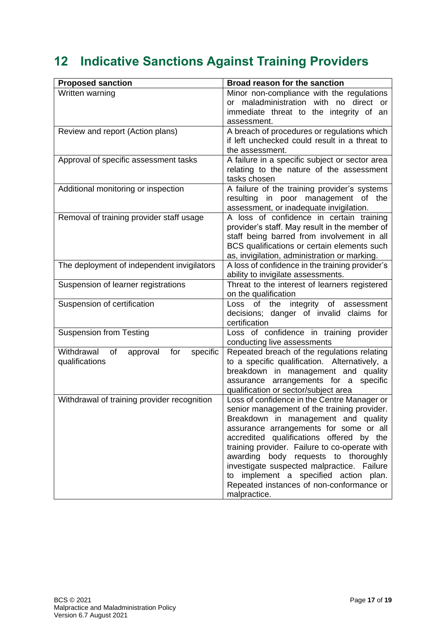# <span id="page-16-0"></span>**12 Indicative Sanctions Against Training Providers**

| <b>Proposed sanction</b>                                          | Broad reason for the sanction                                                                                                                                                                                                                                                                                                                                                                                                                                       |  |
|-------------------------------------------------------------------|---------------------------------------------------------------------------------------------------------------------------------------------------------------------------------------------------------------------------------------------------------------------------------------------------------------------------------------------------------------------------------------------------------------------------------------------------------------------|--|
| Written warning                                                   | Minor non-compliance with the regulations<br>maladministration with no direct<br>or<br>or<br>immediate threat to the integrity of an<br>assessment.                                                                                                                                                                                                                                                                                                                 |  |
| Review and report (Action plans)                                  | A breach of procedures or regulations which<br>if left unchecked could result in a threat to<br>the assessment.                                                                                                                                                                                                                                                                                                                                                     |  |
| Approval of specific assessment tasks                             | A failure in a specific subject or sector area<br>relating to the nature of the assessment<br>tasks chosen                                                                                                                                                                                                                                                                                                                                                          |  |
| Additional monitoring or inspection                               | A failure of the training provider's systems<br>resulting in poor management of the<br>assessment, or inadequate invigilation.                                                                                                                                                                                                                                                                                                                                      |  |
| Removal of training provider staff usage                          | A loss of confidence in certain training<br>provider's staff. May result in the member of<br>staff being barred from involvement in all<br>BCS qualifications or certain elements such<br>as, invigilation, administration or marking.                                                                                                                                                                                                                              |  |
| The deployment of independent invigilators                        | A loss of confidence in the training provider's<br>ability to invigilate assessments.                                                                                                                                                                                                                                                                                                                                                                               |  |
| Suspension of learner registrations                               | Threat to the interest of learners registered<br>on the qualification                                                                                                                                                                                                                                                                                                                                                                                               |  |
| Suspension of certification                                       | Loss of the integrity of assessment<br>decisions; danger of invalid claims for<br>certification                                                                                                                                                                                                                                                                                                                                                                     |  |
| <b>Suspension from Testing</b>                                    | Loss of confidence in training provider<br>conducting live assessments                                                                                                                                                                                                                                                                                                                                                                                              |  |
| Withdrawal<br>specific<br>of<br>approval<br>for<br>qualifications | Repeated breach of the regulations relating<br>to a specific qualification. Alternatively, a<br>breakdown in management and quality<br>assurance arrangements for a specific<br>qualification or sector/subject area                                                                                                                                                                                                                                                |  |
| Withdrawal of training provider recognition                       | Loss of confidence in the Centre Manager or<br>senior management of the training provider.<br>Breakdown in management and quality<br>assurance arrangements for some or all<br>accredited qualifications offered by the<br>training provider. Failure to co-operate with<br>awarding body requests to thoroughly<br>investigate suspected malpractice. Failure<br>to implement a specified action plan.<br>Repeated instances of non-conformance or<br>malpractice. |  |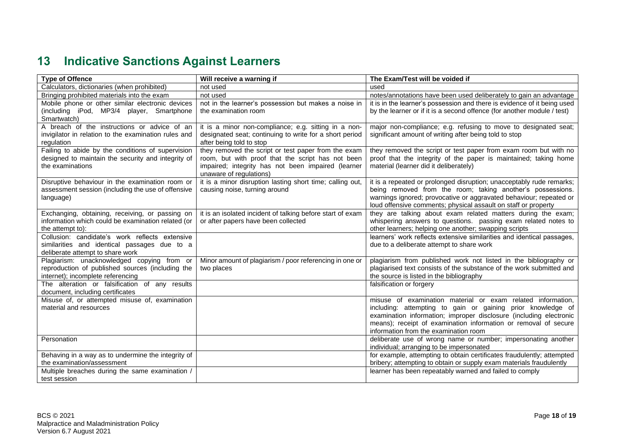## **13 Indicative Sanctions Against Learners**

<span id="page-17-0"></span>

| <b>Type of Offence</b>                               | Will receive a warning if                                  | The Exam/Test will be voided if                                                                                                |
|------------------------------------------------------|------------------------------------------------------------|--------------------------------------------------------------------------------------------------------------------------------|
| Calculators, dictionaries (when prohibited)          | not used                                                   | used                                                                                                                           |
| Bringing prohibited materials into the exam          | not used                                                   | notes/annotations have been used deliberately to gain an advantage                                                             |
| Mobile phone or other similar electronic devices     | not in the learner's possession but makes a noise in       | it is in the learner's possession and there is evidence of it being used                                                       |
| (including iPod, MP3/4 player, Smartphone            | the examination room                                       | by the learner or if it is a second offence (for another module / test)                                                        |
| Smartwatch)                                          |                                                            |                                                                                                                                |
| A breach of the instructions or advice of an         | it is a minor non-compliance; e.g. sitting in a non-       | major non-compliance; e.g. refusing to move to designated seat;                                                                |
| invigilator in relation to the examination rules and | designated seat; continuing to write for a short period    | significant amount of writing after being told to stop                                                                         |
| regulation                                           | after being told to stop                                   |                                                                                                                                |
| Failing to abide by the conditions of supervision    | they removed the script or test paper from the exam        | they removed the script or test paper from exam room but with no                                                               |
| designed to maintain the security and integrity of   | room, but with proof that the script has not been          | proof that the integrity of the paper is maintained; taking home                                                               |
| the examinations                                     | impaired; integrity has not been impaired (learner         | material (learner did it deliberately)                                                                                         |
|                                                      | unaware of regulations)                                    |                                                                                                                                |
| Disruptive behaviour in the examination room or      | it is a minor disruption lasting short time; calling out,  | it is a repeated or prolonged disruption; unacceptably rude remarks;                                                           |
| assessment session (including the use of offensive   | causing noise, turning around                              | being removed from the room; taking another's possessions.                                                                     |
| language)                                            |                                                            | warnings ignored; provocative or aggravated behaviour; repeated or                                                             |
| Exchanging, obtaining, receiving, or passing on      | it is an isolated incident of talking before start of exam | loud offensive comments; physical assault on staff or property<br>they are talking about exam related matters during the exam; |
| information which could be examination related (or   | or after papers have been collected                        | whispering answers to questions. passing exam related notes to                                                                 |
| the attempt to):                                     |                                                            | other learners; helping one another; swapping scripts                                                                          |
| Collusion: candidate's work reflects extensive       |                                                            | learners' work reflects extensive similarities and identical passages,                                                         |
| similarities and identical passages due to a         |                                                            | due to a deliberate attempt to share work                                                                                      |
| deliberate attempt to share work                     |                                                            |                                                                                                                                |
| Plagiarism: unacknowledged copying from or           | Minor amount of plagiarism / poor referencing in one or    | plagiarism from published work not listed in the bibliography or                                                               |
| reproduction of published sources (including the     | two places                                                 | plagiarised text consists of the substance of the work submitted and                                                           |
| internet); incomplete referencing                    |                                                            | the source is listed in the bibliography                                                                                       |
| The alteration or falsification of any results       |                                                            | falsification or forgery                                                                                                       |
| document, including certificates                     |                                                            |                                                                                                                                |
| Misuse of, or attempted misuse of, examination       |                                                            | misuse of examination material or exam related information,                                                                    |
| material and resources                               |                                                            | including: attempting to gain or gaining prior knowledge of                                                                    |
|                                                      |                                                            | examination information; improper disclosure (including electronic                                                             |
|                                                      |                                                            | means); receipt of examination information or removal of secure                                                                |
|                                                      |                                                            | information from the examination room                                                                                          |
| Personation                                          |                                                            | deliberate use of wrong name or number; impersonating another                                                                  |
|                                                      |                                                            | individual; arranging to be impersonated                                                                                       |
| Behaving in a way as to undermine the integrity of   |                                                            | for example, attempting to obtain certificates fraudulently; attempted                                                         |
| the examination/assessment                           |                                                            | bribery; attempting to obtain or supply exam materials fraudulently                                                            |
| Multiple breaches during the same examination /      |                                                            | learner has been repeatably warned and failed to comply                                                                        |
| test session                                         |                                                            |                                                                                                                                |